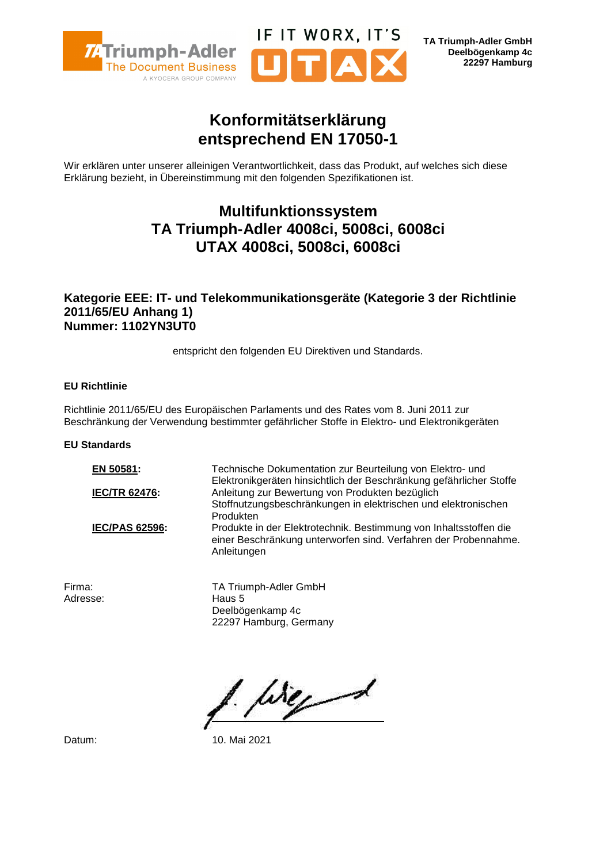

**TA Triumph-Adler GmbH Deelbögenkamp 4c 22297 Hamburg**

## **Konformitätserklärung entsprechend EN 17050-1**

IF IT WORX, IT'S

Wir erklären unter unserer alleinigen Verantwortlichkeit, dass das Produkt, auf welches sich diese Erklärung bezieht, in Übereinstimmung mit den folgenden Spezifikationen ist.

## **Multifunktionssystem TA Triumph-Adler 4008ci, 5008ci, 6008ci UTAX 4008ci, 5008ci, 6008ci**

### **Kategorie EEE: IT- und Telekommunikationsgeräte (Kategorie 3 der Richtlinie 2011/65/EU Anhang 1) Nummer: 1102YN3UT0**

entspricht den folgenden EU Direktiven und Standards.

#### **EU Richtlinie**

Richtlinie 2011/65/EU des Europäischen Parlaments und des Rates vom 8. Juni 2011 zur Beschränkung der Verwendung bestimmter gefährlicher Stoffe in Elektro- und Elektronikgeräten

#### **EU Standards**

**EN 50581:** Technische Dokumentation zur Beurteilung von Elektro- und Elektronikgeräten hinsichtlich der Beschränkung gefährlicher Stoffe **IEC/TR 62476:** Anleitung zur Bewertung von Produkten bezüglich Stoffnutzungsbeschränkungen in elektrischen und elektronischen Produkten **IEC/PAS 62596:** Produkte in der Elektrotechnik. Bestimmung von Inhaltsstoffen die einer Beschränkung unterworfen sind. Verfahren der Probennahme. Anleitungen

Adresse: Haus 5

Firma: TA Triumph-Adler GmbH Deelbögenkamp 4c 22297 Hamburg, Germany

We 1

Datum: 10. Mai 2021